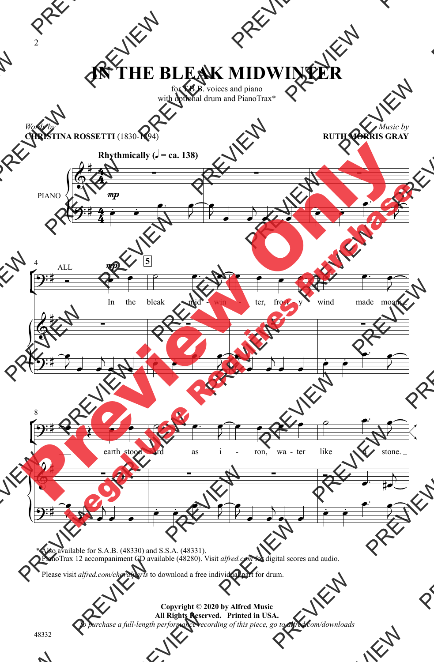## **IN THE BLEAK MIDWINTER**

for T.B.B. voices and piano with optional drum and PianoTrax\*



\* Also available for S.A.B. (48330) and S.S.A. (48331). PianoTrax 12 accompaniment CD available (48280). Visit *alfred.com* for digital scores and audio.

Please visit *alfred.com/choralparts* to download a free individual part for drum.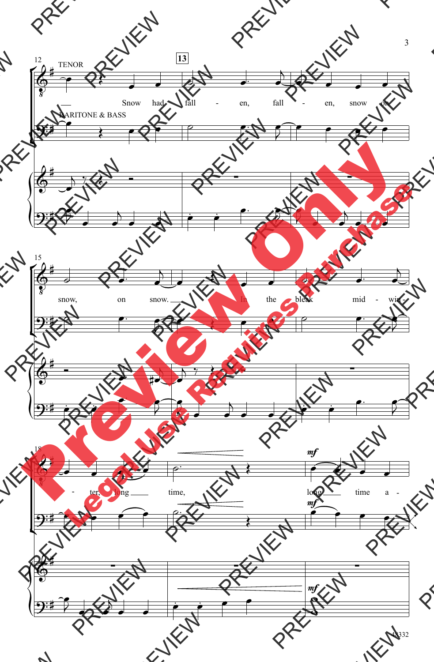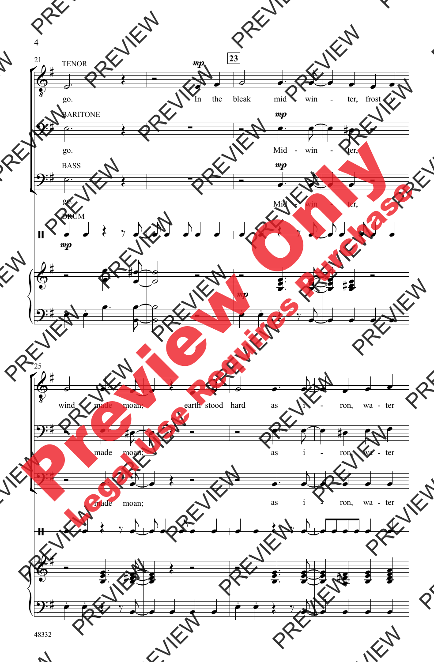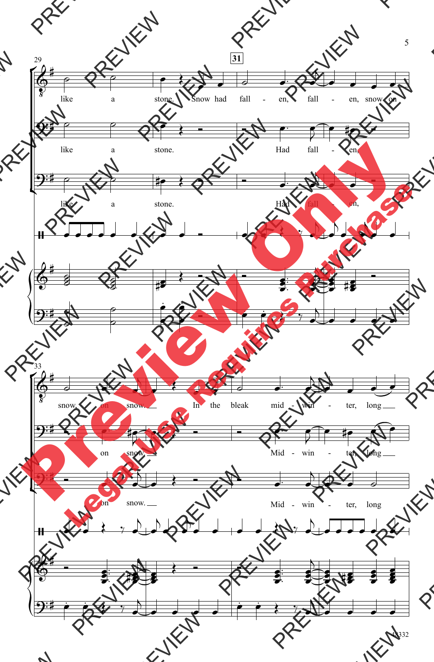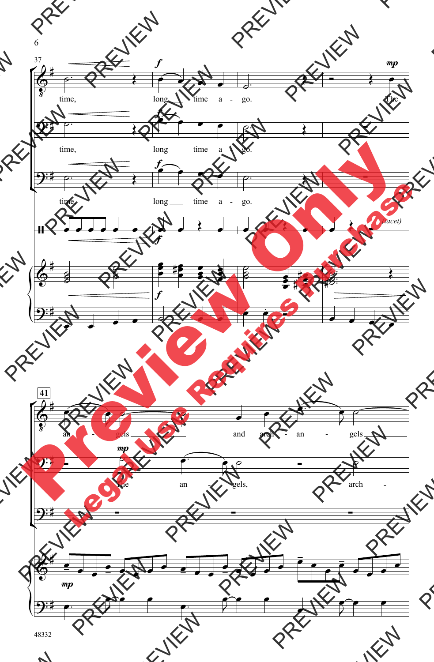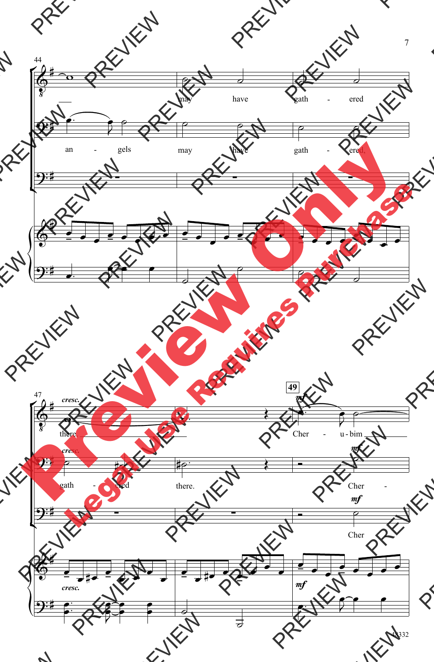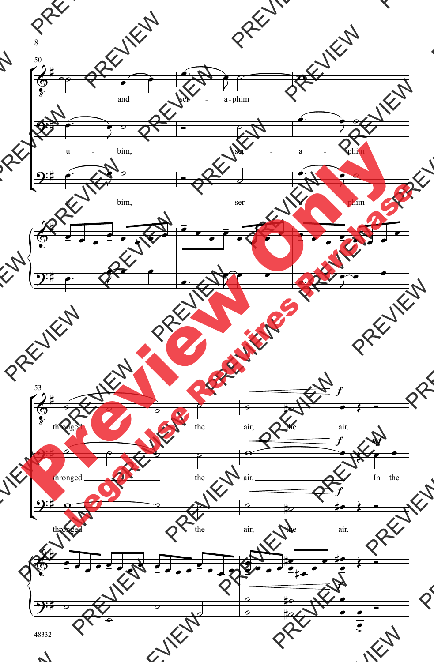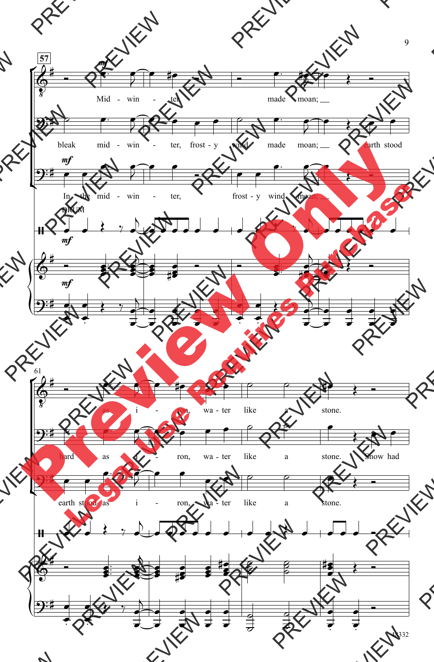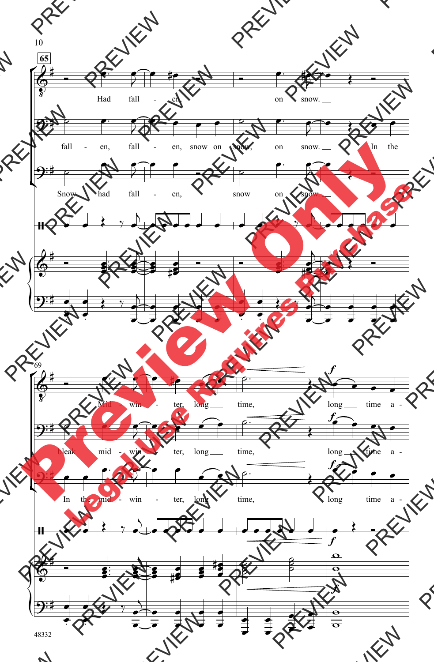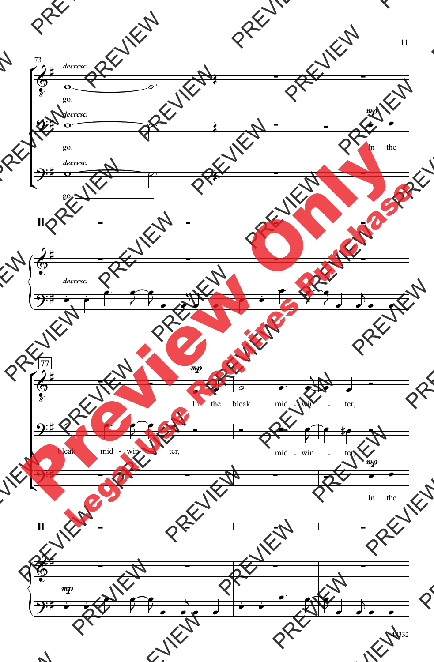